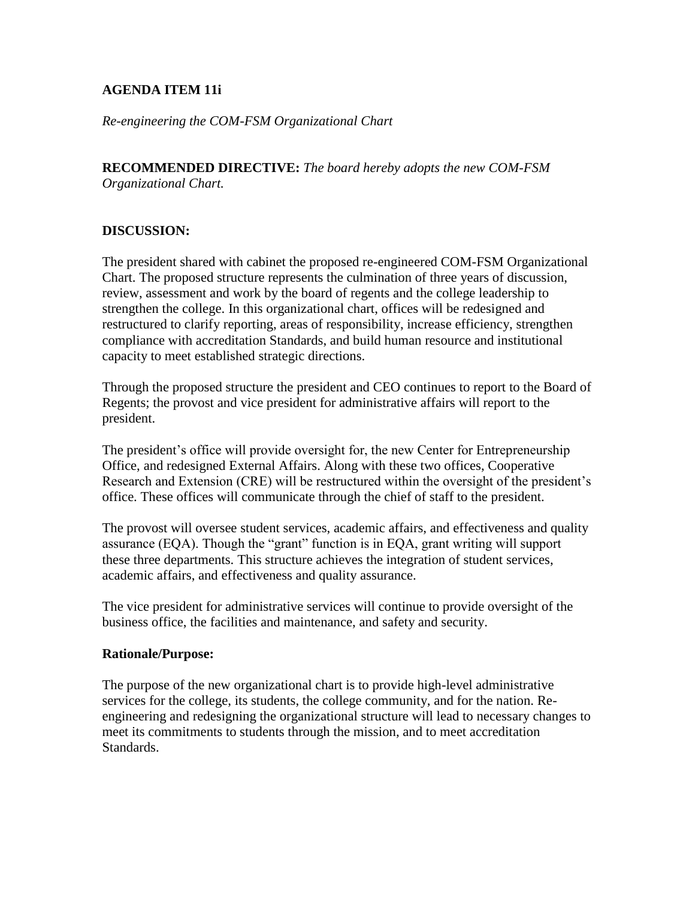## **AGENDA ITEM 11i**

*Re-engineering the COM-FSM Organizational Chart*

**RECOMMENDED DIRECTIVE:** *The board hereby adopts the new COM-FSM Organizational Chart.*

## **DISCUSSION:**

The president shared with cabinet the proposed re-engineered COM-FSM Organizational Chart. The proposed structure represents the culmination of three years of discussion, review, assessment and work by the board of regents and the college leadership to strengthen the college. In this organizational chart, offices will be redesigned and restructured to clarify reporting, areas of responsibility, increase efficiency, strengthen compliance with accreditation Standards, and build human resource and institutional capacity to meet established strategic directions.

Through the proposed structure the president and CEO continues to report to the Board of Regents; the provost and vice president for administrative affairs will report to the president.

The president's office will provide oversight for, the new Center for Entrepreneurship Office, and redesigned External Affairs. Along with these two offices, Cooperative Research and Extension (CRE) will be restructured within the oversight of the president's office. These offices will communicate through the chief of staff to the president.

The provost will oversee student services, academic affairs, and effectiveness and quality assurance (EQA). Though the "grant" function is in EQA, grant writing will support these three departments. This structure achieves the integration of student services, academic affairs, and effectiveness and quality assurance.

The vice president for administrative services will continue to provide oversight of the business office, the facilities and maintenance, and safety and security.

## **Rationale/Purpose:**

The purpose of the new organizational chart is to provide high-level administrative services for the college, its students, the college community, and for the nation. Reengineering and redesigning the organizational structure will lead to necessary changes to meet its commitments to students through the mission, and to meet accreditation Standards.